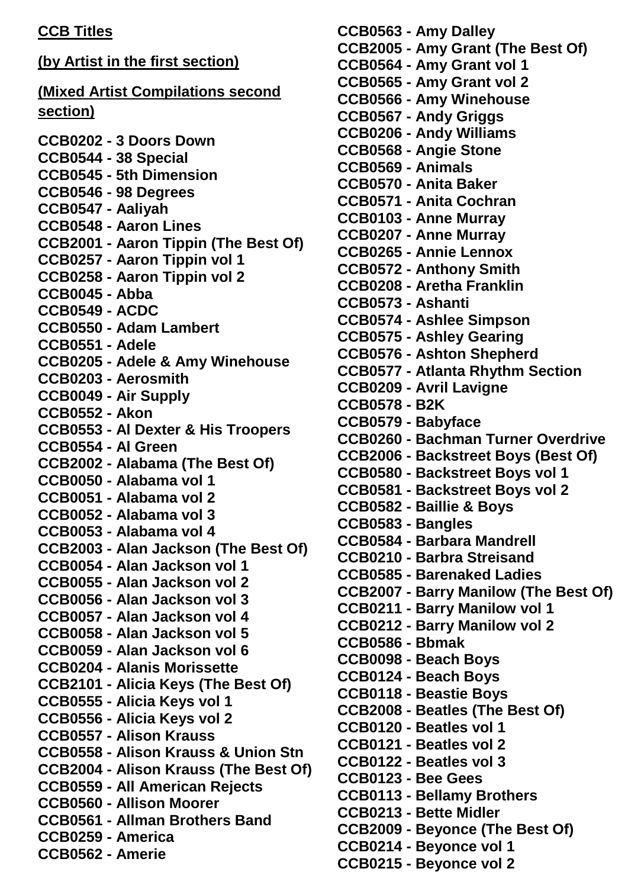## **CCB Titles**

**(by Artist in the first section) (Mixed Artist Compilations second section) CCB0202 - 3 Doors Down CCB0544 - 38 Special CCB0545 - 5th Dimension CCB0546 - 98 Degrees CCB0547 - Aaliyah CCB0548 - Aaron Lines CCB2001 - Aaron Tippin (The Best Of) CCB0257 - Aaron Tippin vol 1 CCB0258 - Aaron Tippin vol 2 CCB0045 - Abba CCB0549 - ACDC CCB0550 - Adam Lambert CCB0551 - Adele CCB0205 - Adele & Amy Winehouse CCB0203 - Aerosmith CCB0049 - Air Supply CCB0552 - Akon CCB0553 - Al Dexter & His Troopers CCB0554 - Al Green CCB2002 - Alabama (The Best Of) CCB0050 - Alabama vol 1 CCB0051 - Alabama vol 2 CCB0052 - Alabama vol 3 CCB0053 - Alabama vol 4 CCB2003 - Alan Jackson (The Best Of) CCB0054 - Alan Jackson vol 1 CCB0055 - Alan Jackson vol 2 CCB0056 - Alan Jackson vol 3 CCB0057 - Alan Jackson vol 4 CCB0058 - Alan Jackson vol 5 CCB0059 - Alan Jackson vol 6 CCB0204 - Alanis Morissette CCB2101 - Alicia Keys (The Best Of) CCB0555 - Alicia Keys vol 1 CCB0556 - Alicia Keys vol 2 CCB0557 - Alison Krauss CCB0558 - Alison Krauss & Union Stn CCB2004 - Alison Krauss (The Best Of) CCB0559 - All American Rejects CCB0560 - Allison Moorer CCB0561 - Allman Brothers Band CCB0259 - America CCB0562 - Amerie**

**CCB0563 - Amy Dalley CCB2005 - Amy Grant (The Best Of) CCB0564 - Amy Grant vol 1 CCB0565 - Amy Grant vol 2 CCB0566 - Amy Winehouse CCB0567 - Andy Griggs CCB0206 - Andy Williams CCB0568 - Angie Stone CCB0569 - Animals CCB0570 - Anita Baker CCB0571 - Anita Cochran CCB0103 - Anne Murray CCB0207 - Anne Murray CCB0265 - Annie Lennox CCB0572 - Anthony Smith CCB0208 - Aretha Franklin CCB0573 - Ashanti CCB0574 - Ashlee Simpson CCB0575 - Ashley Gearing CCB0576 - Ashton Shepherd CCB0577 - Atlanta Rhythm Section CCB0209 - Avril Lavigne CCB0578 - B2K CCB0579 - Babyface CCB0260 - Bachman Turner Overdrive CCB2006 - Backstreet Boys (Best Of) CCB0580 - Backstreet Boys vol 1 CCB0581 - Backstreet Boys vol 2 CCB0582 - Baillie & Boys CCB0583 - Bangles CCB0584 - Barbara Mandrell CCB0210 - Barbra Streisand CCB0585 - Barenaked Ladies CCB2007 - Barry Manilow (The Best Of) CCB0211 - Barry Manilow vol 1 CCB0212 - Barry Manilow vol 2 CCB0586 - Bbmak CCB0098 - Beach Boys CCB0124 - Beach Boys CCB0118 - Beastie Boys CCB2008 - Beatles (The Best Of) CCB0120 - Beatles vol 1 CCB0121 - Beatles vol 2 CCB0122 - Beatles vol 3 CCB0123 - Bee Gees CCB0113 - Bellamy Brothers CCB0213 - Bette Midler CCB2009 - Beyonce (The Best Of) CCB0214 - Beyonce vol 1 CCB0215 - Beyonce vol 2**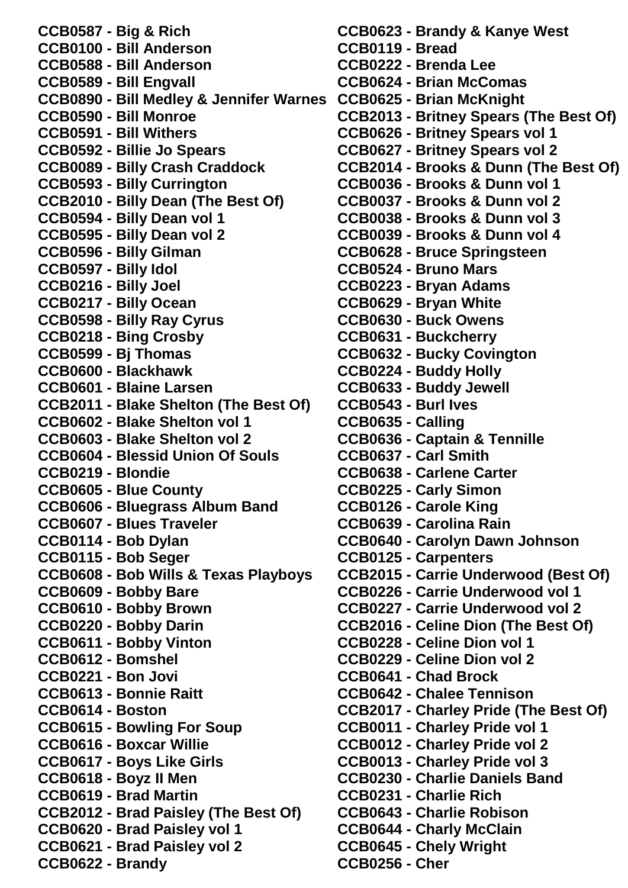**CCB0587 - Big & Rich CCB0100 - Bill Anderson CCB0588 - Bill Anderson CCB0589 - Bill Engvall CCB0890 - Bill Medley & Jennifer Warnes CCB0625 - Brian McKnight CCB0590 - Bill Monroe CCB0591 - Bill Withers CCB0592 - Billie Jo Spears CCB0089 - Billy Crash Craddock CCB0593 - Billy Currington CCB2010 - Billy Dean (The Best Of) CCB0594 - Billy Dean vol 1 CCB0595 - Billy Dean vol 2 CCB0596 - Billy Gilman CCB0597 - Billy Idol CCB0216 - Billy Joel CCB0217 - Billy Ocean CCB0598 - Billy Ray Cyrus CCB0218 - Bing Crosby CCB0599 - Bj Thomas CCB0600 - Blackhawk CCB0601 - Blaine Larsen CCB2011 - Blake Shelton (The Best Of) CCB0602 - Blake Shelton vol 1 CCB0603 - Blake Shelton vol 2 CCB0604 - Blessid Union Of Souls CCB0219 - Blondie CCB0605 - Blue County CCB0606 - Bluegrass Album Band CCB0607 - Blues Traveler CCB0114 - Bob Dylan CCB0115 - Bob Seger CCB0608 - Bob Wills & Texas Playboys CCB0609 - Bobby Bare CCB0610 - Bobby Brown CCB0220 - Bobby Darin CCB0611 - Bobby Vinton CCB0612 - Bomshel CCB0221 - Bon Jovi CCB0613 - Bonnie Raitt CCB0614 - Boston CCB0615 - Bowling For Soup CCB0616 - Boxcar Willie CCB0617 - Boys Like Girls CCB0618 - Boyz II Men CCB0619 - Brad Martin CCB2012 - Brad Paisley (The Best Of) CCB0620 - Brad Paisley vol 1 CCB0621 - Brad Paisley vol 2 CCB0622 - Brandy**

**CCB0623 - Brandy & Kanye West CCB0119 - Bread CCB0222 - Brenda Lee CCB0624 - Brian McComas CCB2013 - Britney Spears (The Best Of) CCB0626 - Britney Spears vol 1 CCB0627 - Britney Spears vol 2 CCB2014 - Brooks & Dunn (The Best Of) CCB0036 - Brooks & Dunn vol 1 CCB0037 - Brooks & Dunn vol 2 CCB0038 - Brooks & Dunn vol 3 CCB0039 - Brooks & Dunn vol 4 CCB0628 - Bruce Springsteen CCB0524 - Bruno Mars CCB0223 - Bryan Adams CCB0629 - Bryan White CCB0630 - Buck Owens CCB0631 - Buckcherry CCB0632 - Bucky Covington CCB0224 - Buddy Holly CCB0633 - Buddy Jewell CCB0543 - Burl Ives CCB0635 - Calling CCB0636 - Captain & Tennille CCB0637 - Carl Smith CCB0638 - Carlene Carter CCB0225 - Carly Simon CCB0126 - Carole King CCB0639 - Carolina Rain CCB0640 - Carolyn Dawn Johnson CCB0125 - Carpenters CCB2015 - Carrie Underwood (Best Of) CCB0226 - Carrie Underwood vol 1 CCB0227 - Carrie Underwood vol 2 CCB2016 - Celine Dion (The Best Of) CCB0228 - Celine Dion vol 1 CCB0229 - Celine Dion vol 2 CCB0641 - Chad Brock CCB0642 - Chalee Tennison CCB2017 - Charley Pride (The Best Of) CCB0011 - Charley Pride vol 1 CCB0012 - Charley Pride vol 2 CCB0013 - Charley Pride vol 3 CCB0230 - Charlie Daniels Band CCB0231 - Charlie Rich CCB0643 - Charlie Robison CCB0644 - Charly McClain CCB0645 - Chely Wright CCB0256 - Cher**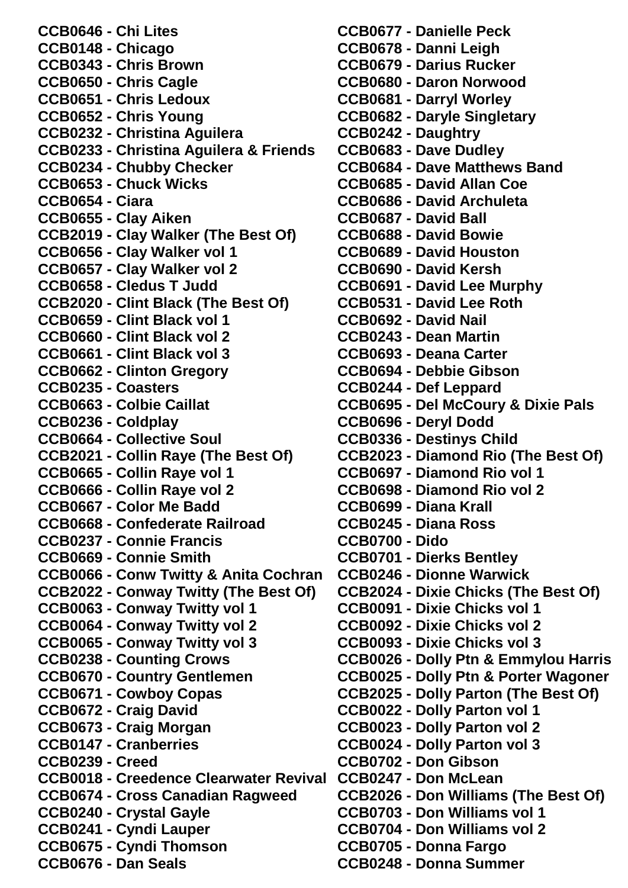**CCB0646 - Chi Lites CCB0148 - Chicago CCB0343 - Chris Brown CCB0650 - Chris Cagle CCB0651 - Chris Ledoux CCB0652 - Chris Young CCB0232 - Christina Aguilera CCB0233 - Christina Aguilera & Friends CCB0234 - Chubby Checker CCB0653 - Chuck Wicks CCB0654 - Ciara CCB0655 - Clay Aiken CCB2019 - Clay Walker (The Best Of) CCB0656 - Clay Walker vol 1 CCB0657 - Clay Walker vol 2 CCB0658 - Cledus T Judd CCB2020 - Clint Black (The Best Of) CCB0659 - Clint Black vol 1 CCB0660 - Clint Black vol 2 CCB0661 - Clint Black vol 3 CCB0662 - Clinton Gregory CCB0235 - Coasters CCB0663 - Colbie Caillat CCB0236 - Coldplay CCB0664 - Collective Soul CCB2021 - Collin Raye (The Best Of) CCB0665 - Collin Raye vol 1 CCB0666 - Collin Raye vol 2 CCB0667 - Color Me Badd CCB0668 - Confederate Railroad CCB0237 - Connie Francis CCB0669 - Connie Smith CCB0066 - Conw Twitty & Anita Cochran CCB2022 - Conway Twitty (The Best Of) CCB0063 - Conway Twitty vol 1 CCB0064 - Conway Twitty vol 2 CCB0065 - Conway Twitty vol 3 CCB0238 - Counting Crows CCB0670 - Country Gentlemen CCB0671 - Cowboy Copas CCB0672 - Craig David CCB0673 - Craig Morgan CCB0147 - Cranberries CCB0239 - Creed CCB0018 - Creedence Clearwater Revival CCB0247 - Don McLean CCB0674 - Cross Canadian Ragweed CCB0240 - Crystal Gayle CCB0241 - Cyndi Lauper CCB0675 - Cyndi Thomson CCB0676 - Dan Seals**

**CCB0677 - Danielle Peck CCB0678 - Danni Leigh CCB0679 - Darius Rucker CCB0680 - Daron Norwood CCB0681 - Darryl Worley CCB0682 - Daryle Singletary CCB0242 - Daughtry CCB0683 - Dave Dudley CCB0684 - Dave Matthews Band CCB0685 - David Allan Coe CCB0686 - David Archuleta CCB0687 - David Ball CCB0688 - David Bowie CCB0689 - David Houston CCB0690 - David Kersh CCB0691 - David Lee Murphy CCB0531 - David Lee Roth CCB0692 - David Nail CCB0243 - Dean Martin CCB0693 - Deana Carter CCB0694 - Debbie Gibson CCB0244 - Def Leppard CCB0695 - Del McCoury & Dixie Pals CCB0696 - Deryl Dodd CCB0336 - Destinys Child CCB2023 - Diamond Rio (The Best Of) CCB0697 - Diamond Rio vol 1 CCB0698 - Diamond Rio vol 2 CCB0699 - Diana Krall CCB0245 - Diana Ross CCB0700 - Dido CCB0701 - Dierks Bentley CCB0246 - Dionne Warwick CCB2024 - Dixie Chicks (The Best Of) CCB0091 - Dixie Chicks vol 1 CCB0092 - Dixie Chicks vol 2 CCB0093 - Dixie Chicks vol 3 CCB0026 - Dolly Ptn & Emmylou Harris CCB0025 - Dolly Ptn & Porter Wagoner CCB2025 - Dolly Parton (The Best Of) CCB0022 - Dolly Parton vol 1 CCB0023 - Dolly Parton vol 2 CCB0024 - Dolly Parton vol 3 CCB0702 - Don Gibson CCB2026 - Don Williams (The Best Of) CCB0703 - Don Williams vol 1 CCB0704 - Don Williams vol 2 CCB0705 - Donna Fargo CCB0248 - Donna Summer**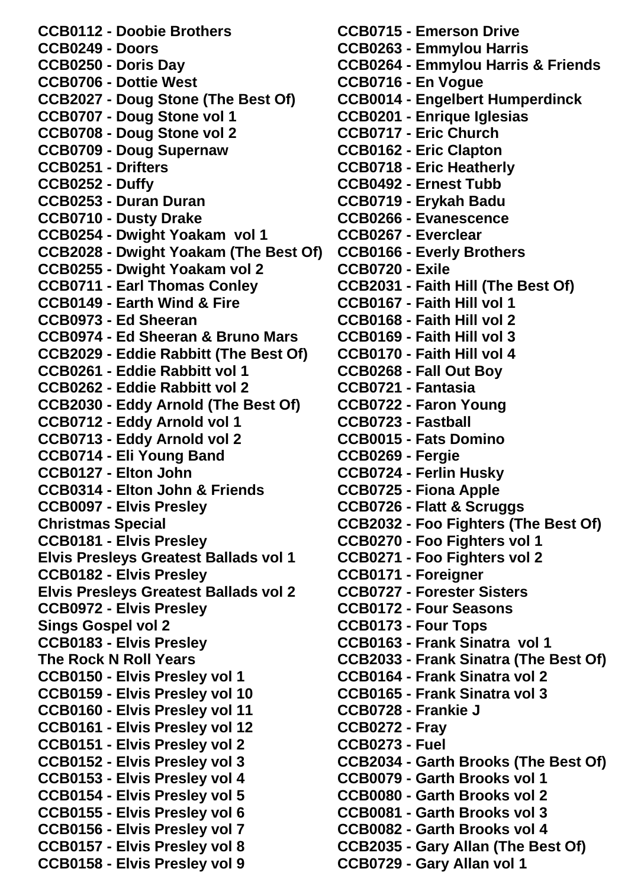**CCB0112 - Doobie Brothers CCB0249 - Doors CCB0250 - Doris Day CCB0706 - Dottie West CCB2027 - Doug Stone (The Best Of) CCB0707 - Doug Stone vol 1 CCB0708 - Doug Stone vol 2 CCB0709 - Doug Supernaw CCB0251 - Drifters CCB0252 - Duffy CCB0253 - Duran Duran CCB0710 - Dusty Drake CCB0254 - Dwight Yoakam vol 1 CCB2028 - Dwight Yoakam (The Best Of) CCB0255 - Dwight Yoakam vol 2 CCB0711 - Earl Thomas Conley CCB0149 - Earth Wind & Fire CCB0973 - Ed Sheeran CCB0974 - Ed Sheeran & Bruno Mars CCB2029 - Eddie Rabbitt (The Best Of) CCB0261 - Eddie Rabbitt vol 1 CCB0262 - Eddie Rabbitt vol 2 CCB2030 - Eddy Arnold (The Best Of) CCB0712 - Eddy Arnold vol 1 CCB0713 - Eddy Arnold vol 2 CCB0714 - Eli Young Band CCB0127 - Elton John CCB0314 - Elton John & Friends CCB0097 - Elvis Presley Christmas Special CCB0181 - Elvis Presley Elvis Presleys Greatest Ballads vol 1 CCB0182 - Elvis Presley Elvis Presleys Greatest Ballads vol 2 CCB0972 - Elvis Presley Sings Gospel vol 2 CCB0183 - Elvis Presley The Rock N Roll Years CCB0150 - Elvis Presley vol 1 CCB0159 - Elvis Presley vol 10 CCB0160 - Elvis Presley vol 11 CCB0161 - Elvis Presley vol 12 CCB0151 - Elvis Presley vol 2 CCB0152 - Elvis Presley vol 3 CCB0153 - Elvis Presley vol 4 CCB0154 - Elvis Presley vol 5 CCB0155 - Elvis Presley vol 6 CCB0156 - Elvis Presley vol 7 CCB0157 - Elvis Presley vol 8 CCB0158 - Elvis Presley vol 9**

**CCB0715 - Emerson Drive CCB0263 - Emmylou Harris CCB0264 - Emmylou Harris & Friends CCB0716 - En Vogue CCB0014 - Engelbert Humperdinck CCB0201 - Enrique Iglesias CCB0717 - Eric Church CCB0162 - Eric Clapton CCB0718 - Eric Heatherly CCB0492 - Ernest Tubb CCB0719 - Erykah Badu CCB0266 - Evanescence CCB0267 - Everclear CCB0166 - Everly Brothers CCB0720 - Exile CCB2031 - Faith Hill (The Best Of) CCB0167 - Faith Hill vol 1 CCB0168 - Faith Hill vol 2 CCB0169 - Faith Hill vol 3 CCB0170 - Faith Hill vol 4 CCB0268 - Fall Out Boy CCB0721 - Fantasia CCB0722 - Faron Young CCB0723 - Fastball CCB0015 - Fats Domino CCB0269 - Fergie CCB0724 - Ferlin Husky CCB0725 - Fiona Apple CCB0726 - Flatt & Scruggs CCB2032 - Foo Fighters (The Best Of) CCB0270 - Foo Fighters vol 1 CCB0271 - Foo Fighters vol 2 CCB0171 - Foreigner CCB0727 - Forester Sisters CCB0172 - Four Seasons CCB0173 - Four Tops CCB0163 - Frank Sinatra vol 1 CCB2033 - Frank Sinatra (The Best Of) CCB0164 - Frank Sinatra vol 2 CCB0165 - Frank Sinatra vol 3 CCB0728 - Frankie J CCB0272 - Fray CCB0273 - Fuel CCB2034 - Garth Brooks (The Best Of) CCB0079 - Garth Brooks vol 1 CCB0080 - Garth Brooks vol 2 CCB0081 - Garth Brooks vol 3 CCB0082 - Garth Brooks vol 4 CCB2035 - Gary Allan (The Best Of) CCB0729 - Gary Allan vol 1**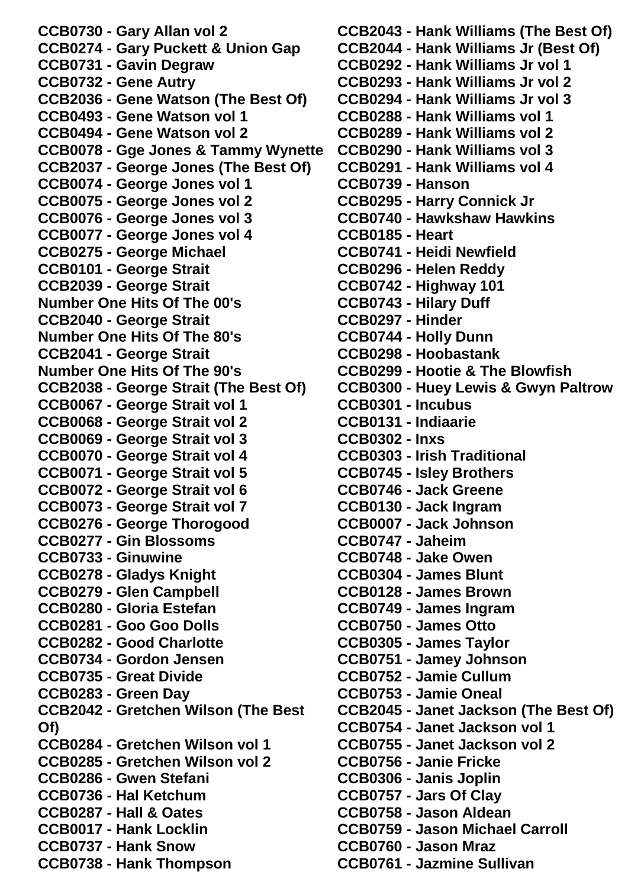**CCB0730 - Gary Allan vol 2 CCB0274 - Gary Puckett & Union Gap CCB0731 - Gavin Degraw CCB0732 - Gene Autry CCB2036 - Gene Watson (The Best Of) CCB0493 - Gene Watson vol 1 CCB0494 - Gene Watson vol 2 CCB0078 - Gge Jones & Tammy Wynette CCB2037 - George Jones (The Best Of) CCB0074 - George Jones vol 1 CCB0075 - George Jones vol 2 CCB0076 - George Jones vol 3 CCB0077 - George Jones vol 4 CCB0275 - George Michael CCB0101 - George Strait CCB2039 - George Strait Number One Hits Of The 00's CCB2040 - George Strait Number One Hits Of The 80's CCB2041 - George Strait Number One Hits Of The 90's CCB2038 - George Strait (The Best Of) CCB0067 - George Strait vol 1 CCB0068 - George Strait vol 2 CCB0069 - George Strait vol 3 CCB0070 - George Strait vol 4 CCB0071 - George Strait vol 5 CCB0072 - George Strait vol 6 CCB0073 - George Strait vol 7 CCB0276 - George Thorogood CCB0277 - Gin Blossoms CCB0733 - Ginuwine CCB0278 - Gladys Knight CCB0279 - Glen Campbell CCB0280 - Gloria Estefan CCB0281 - Goo Goo Dolls CCB0282 - Good Charlotte CCB0734 - Gordon Jensen CCB0735 - Great Divide CCB0283 - Green Day CCB2042 - Gretchen Wilson (The Best Of) CCB0284 - Gretchen Wilson vol 1 CCB0285 - Gretchen Wilson vol 2 CCB0286 - Gwen Stefani CCB0736 - Hal Ketchum CCB0287 - Hall & Oates CCB0017 - Hank Locklin CCB0737 - Hank Snow CCB0738 - Hank Thompson**

**CCB2043 - Hank Williams (The Best Of) CCB2044 - Hank Williams Jr (Best Of) CCB0292 - Hank Williams Jr vol 1 CCB0293 - Hank Williams Jr vol 2 CCB0294 - Hank Williams Jr vol 3 CCB0288 - Hank Williams vol 1 CCB0289 - Hank Williams vol 2 CCB0290 - Hank Williams vol 3 CCB0291 - Hank Williams vol 4 CCB0739 - Hanson CCB0295 - Harry Connick Jr CCB0740 - Hawkshaw Hawkins CCB0185 - Heart CCB0741 - Heidi Newfield CCB0296 - Helen Reddy CCB0742 - Highway 101 CCB0743 - Hilary Duff CCB0297 - Hinder CCB0744 - Holly Dunn CCB0298 - Hoobastank CCB0299 - Hootie & The Blowfish CCB0300 - Huey Lewis & Gwyn Paltrow CCB0301 - Incubus CCB0131 - Indiaarie CCB0302 - Inxs CCB0303 - Irish Traditional CCB0745 - Isley Brothers CCB0746 - Jack Greene CCB0130 - Jack Ingram CCB0007 - Jack Johnson CCB0747 - Jaheim CCB0748 - Jake Owen CCB0304 - James Blunt CCB0128 - James Brown CCB0749 - James Ingram CCB0750 - James Otto CCB0305 - James Taylor CCB0751 - Jamey Johnson CCB0752 - Jamie Cullum CCB0753 - Jamie Oneal CCB2045 - Janet Jackson (The Best Of) CCB0754 - Janet Jackson vol 1 CCB0755 - Janet Jackson vol 2 CCB0756 - Janie Fricke CCB0306 - Janis Joplin CCB0757 - Jars Of Clay CCB0758 - Jason Aldean CCB0759 - Jason Michael Carroll CCB0760 - Jason Mraz CCB0761 - Jazmine Sullivan**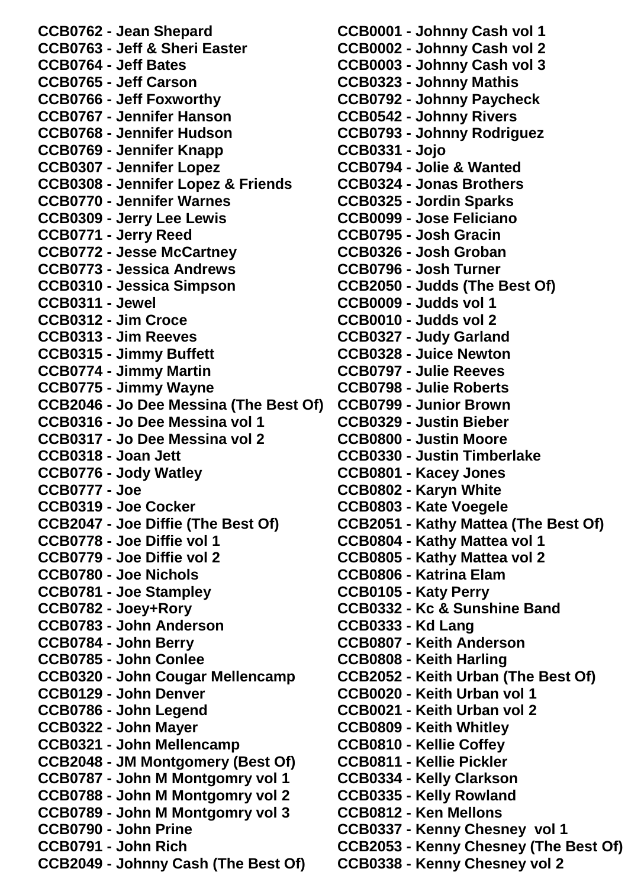**CCB0762 - Jean Shepard CCB0763 - Jeff & Sheri Easter CCB0764 - Jeff Bates CCB0765 - Jeff Carson CCB0766 - Jeff Foxworthy CCB0767 - Jennifer Hanson CCB0768 - Jennifer Hudson CCB0769 - Jennifer Knapp CCB0307 - Jennifer Lopez CCB0308 - Jennifer Lopez & Friends CCB0770 - Jennifer Warnes CCB0309 - Jerry Lee Lewis CCB0771 - Jerry Reed CCB0772 - Jesse McCartney CCB0773 - Jessica Andrews CCB0310 - Jessica Simpson CCB0311 - Jewel CCB0312 - Jim Croce CCB0313 - Jim Reeves CCB0315 - Jimmy Buffett CCB0774 - Jimmy Martin CCB0775 - Jimmy Wayne CCB2046 - Jo Dee Messina (The Best Of) CCB0316 - Jo Dee Messina vol 1 CCB0317 - Jo Dee Messina vol 2 CCB0318 - Joan Jett CCB0776 - Jody Watley CCB0777 - Joe CCB0319 - Joe Cocker CCB2047 - Joe Diffie (The Best Of) CCB0778 - Joe Diffie vol 1 CCB0779 - Joe Diffie vol 2 CCB0780 - Joe Nichols CCB0781 - Joe Stampley CCB0782 - Joey+Rory CCB0783 - John Anderson CCB0784 - John Berry CCB0785 - John Conlee CCB0320 - John Cougar Mellencamp CCB0129 - John Denver CCB0786 - John Legend CCB0322 - John Mayer CCB0321 - John Mellencamp CCB2048 - JM Montgomery (Best Of) CCB0787 - John M Montgomry vol 1 CCB0788 - John M Montgomry vol 2 CCB0789 - John M Montgomry vol 3 CCB0790 - John Prine CCB0791 - John Rich CCB2049 - Johnny Cash (The Best Of)**

**CCB0001 - Johnny Cash vol 1 CCB0002 - Johnny Cash vol 2 CCB0003 - Johnny Cash vol 3 CCB0323 - Johnny Mathis CCB0792 - Johnny Paycheck CCB0542 - Johnny Rivers CCB0793 - Johnny Rodriguez CCB0331 - Jojo CCB0794 - Jolie & Wanted CCB0324 - Jonas Brothers CCB0325 - Jordin Sparks CCB0099 - Jose Feliciano CCB0795 - Josh Gracin CCB0326 - Josh Groban CCB0796 - Josh Turner CCB2050 - Judds (The Best Of) CCB0009 - Judds vol 1 CCB0010 - Judds vol 2 CCB0327 - Judy Garland CCB0328 - Juice Newton CCB0797 - Julie Reeves CCB0798 - Julie Roberts CCB0799 - Junior Brown CCB0329 - Justin Bieber CCB0800 - Justin Moore CCB0330 - Justin Timberlake CCB0801 - Kacey Jones CCB0802 - Karyn White CCB0803 - Kate Voegele CCB2051 - Kathy Mattea (The Best Of) CCB0804 - Kathy Mattea vol 1 CCB0805 - Kathy Mattea vol 2 CCB0806 - Katrina Elam CCB0105 - Katy Perry CCB0332 - Kc & Sunshine Band CCB0333 - Kd Lang CCB0807 - Keith Anderson CCB0808 - Keith Harling CCB2052 - Keith Urban (The Best Of) CCB0020 - Keith Urban vol 1 CCB0021 - Keith Urban vol 2 CCB0809 - Keith Whitley CCB0810 - Kellie Coffey CCB0811 - Kellie Pickler CCB0334 - Kelly Clarkson CCB0335 - Kelly Rowland CCB0812 - Ken Mellons CCB0337 - Kenny Chesney vol 1 CCB2053 - Kenny Chesney (The Best Of) CCB0338 - Kenny Chesney vol 2**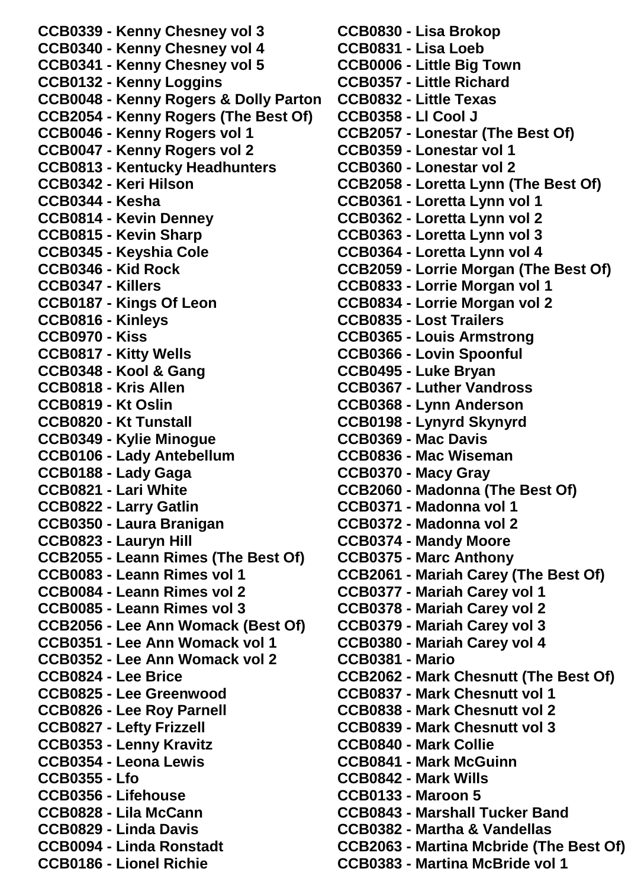**CCB0339 - Kenny Chesney vol 3 CCB0340 - Kenny Chesney vol 4 CCB0341 - Kenny Chesney vol 5 CCB0132 - Kenny Loggins CCB0048 - Kenny Rogers & Dolly Parton CCB2054 - Kenny Rogers (The Best Of) CCB0046 - Kenny Rogers vol 1 CCB0047 - Kenny Rogers vol 2 CCB0813 - Kentucky Headhunters CCB0342 - Keri Hilson CCB0344 - Kesha CCB0814 - Kevin Denney CCB0815 - Kevin Sharp CCB0345 - Keyshia Cole CCB0346 - Kid Rock CCB0347 - Killers CCB0187 - Kings Of Leon CCB0816 - Kinleys CCB0970 - Kiss CCB0817 - Kitty Wells CCB0348 - Kool & Gang CCB0818 - Kris Allen CCB0819 - Kt Oslin CCB0820 - Kt Tunstall CCB0349 - Kylie Minogue CCB0106 - Lady Antebellum CCB0188 - Lady Gaga CCB0821 - Lari White CCB0822 - Larry Gatlin CCB0350 - Laura Branigan CCB0823 - Lauryn Hill CCB2055 - Leann Rimes (The Best Of) CCB0083 - Leann Rimes vol 1 CCB0084 - Leann Rimes vol 2 CCB0085 - Leann Rimes vol 3 CCB2056 - Lee Ann Womack (Best Of) CCB0351 - Lee Ann Womack vol 1 CCB0352 - Lee Ann Womack vol 2 CCB0824 - Lee Brice CCB0825 - Lee Greenwood CCB0826 - Lee Roy Parnell CCB0827 - Lefty Frizzell CCB0353 - Lenny Kravitz CCB0354 - Leona Lewis CCB0355 - Lfo CCB0356 - Lifehouse CCB0828 - Lila McCann CCB0829 - Linda Davis CCB0094 - Linda Ronstadt CCB0186 - Lionel Richie**

**CCB0830 - Lisa Brokop CCB0831 - Lisa Loeb CCB0006 - Little Big Town CCB0357 - Little Richard CCB0832 - Little Texas CCB0358 - Ll Cool J CCB2057 - Lonestar (The Best Of) CCB0359 - Lonestar vol 1 CCB0360 - Lonestar vol 2 CCB2058 - Loretta Lynn (The Best Of) CCB0361 - Loretta Lynn vol 1 CCB0362 - Loretta Lynn vol 2 CCB0363 - Loretta Lynn vol 3 CCB0364 - Loretta Lynn vol 4 CCB2059 - Lorrie Morgan (The Best Of) CCB0833 - Lorrie Morgan vol 1 CCB0834 - Lorrie Morgan vol 2 CCB0835 - Lost Trailers CCB0365 - Louis Armstrong CCB0366 - Lovin Spoonful CCB0495 - Luke Bryan CCB0367 - Luther Vandross CCB0368 - Lynn Anderson CCB0198 - Lynyrd Skynyrd CCB0369 - Mac Davis CCB0836 - Mac Wiseman CCB0370 - Macy Gray CCB2060 - Madonna (The Best Of) CCB0371 - Madonna vol 1 CCB0372 - Madonna vol 2 CCB0374 - Mandy Moore CCB0375 - Marc Anthony CCB2061 - Mariah Carey (The Best Of) CCB0377 - Mariah Carey vol 1 CCB0378 - Mariah Carey vol 2 CCB0379 - Mariah Carey vol 3 CCB0380 - Mariah Carey vol 4 CCB0381 - Mario CCB2062 - Mark Chesnutt (The Best Of) CCB0837 - Mark Chesnutt vol 1 CCB0838 - Mark Chesnutt vol 2 CCB0839 - Mark Chesnutt vol 3 CCB0840 - Mark Collie CCB0841 - Mark McGuinn CCB0842 - Mark Wills CCB0133 - Maroon 5 CCB0843 - Marshall Tucker Band CCB0382 - Martha & Vandellas CCB2063 - Martina Mcbride (The Best Of) CCB0383 - Martina McBride vol 1**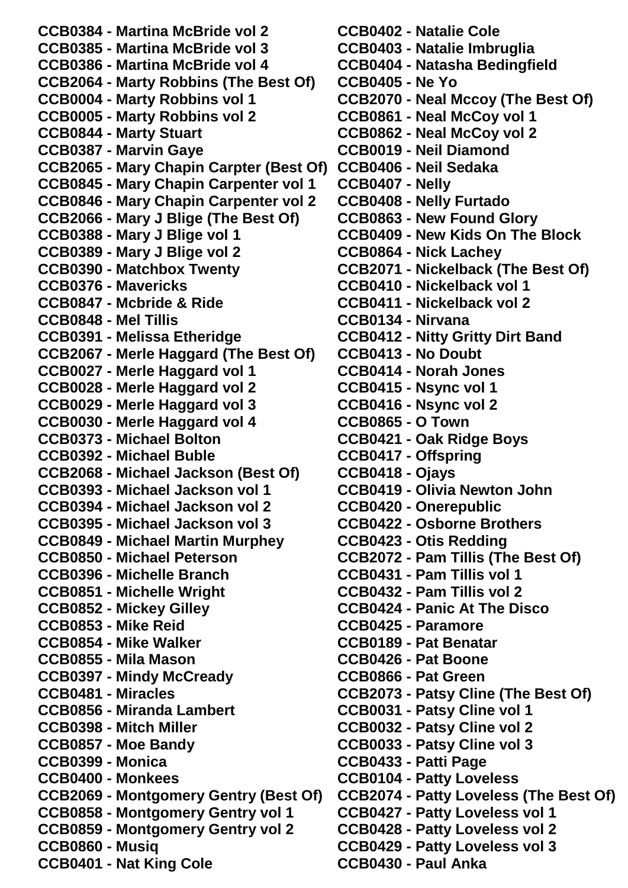**CCB0384 - Martina McBride vol 2 CCB0385 - Martina McBride vol 3 CCB0386 - Martina McBride vol 4 CCB2064 - Marty Robbins (The Best Of) CCB0004 - Marty Robbins vol 1 CCB0005 - Marty Robbins vol 2 CCB0844 - Marty Stuart CCB0387 - Marvin Gaye CCB2065 - Mary Chapin Carpter (Best Of) CCB0406 - Neil Sedaka CCB0845 - Mary Chapin Carpenter vol 1 CCB0846 - Mary Chapin Carpenter vol 2 CCB2066 - Mary J Blige (The Best Of) CCB0388 - Mary J Blige vol 1 CCB0389 - Mary J Blige vol 2 CCB0390 - Matchbox Twenty CCB0376 - Mavericks CCB0847 - Mcbride & Ride CCB0848 - Mel Tillis CCB0391 - Melissa Etheridge CCB2067 - Merle Haggard (The Best Of) CCB0027 - Merle Haggard vol 1 CCB0028 - Merle Haggard vol 2 CCB0029 - Merle Haggard vol 3 CCB0030 - Merle Haggard vol 4 CCB0373 - Michael Bolton CCB0392 - Michael Buble CCB2068 - Michael Jackson (Best Of) CCB0393 - Michael Jackson vol 1 CCB0394 - Michael Jackson vol 2 CCB0395 - Michael Jackson vol 3 CCB0849 - Michael Martin Murphey CCB0850 - Michael Peterson CCB0396 - Michelle Branch CCB0851 - Michelle Wright CCB0852 - Mickey Gilley CCB0853 - Mike Reid CCB0854 - Mike Walker CCB0855 - Mila Mason CCB0397 - Mindy McCready CCB0481 - Miracles CCB0856 - Miranda Lambert CCB0398 - Mitch Miller CCB0857 - Moe Bandy CCB0399 - Monica CCB0400 - Monkees CCB2069 - Montgomery Gentry (Best Of) CCB0858 - Montgomery Gentry vol 1 CCB0859 - Montgomery Gentry vol 2 CCB0860 - Musiq CCB0401 - Nat King Cole**

**CCB0402 - Natalie Cole CCB0403 - Natalie Imbruglia CCB0404 - Natasha Bedingfield CCB0405 - Ne Yo CCB2070 - Neal Mccoy (The Best Of) CCB0861 - Neal McCoy vol 1 CCB0862 - Neal McCoy vol 2 CCB0019 - Neil Diamond CCB0407 - Nelly CCB0408 - Nelly Furtado CCB0863 - New Found Glory CCB0409 - New Kids On The Block CCB0864 - Nick Lachey CCB2071 - Nickelback (The Best Of) CCB0410 - Nickelback vol 1 CCB0411 - Nickelback vol 2 CCB0134 - Nirvana CCB0412 - Nitty Gritty Dirt Band CCB0413 - No Doubt CCB0414 - Norah Jones CCB0415 - Nsync vol 1 CCB0416 - Nsync vol 2 CCB0865 - O Town CCB0421 - Oak Ridge Boys CCB0417 - Offspring CCB0418 - Ojays CCB0419 - Olivia Newton John CCB0420 - Onerepublic CCB0422 - Osborne Brothers CCB0423 - Otis Redding CCB2072 - Pam Tillis (The Best Of) CCB0431 - Pam Tillis vol 1 CCB0432 - Pam Tillis vol 2 CCB0424 - Panic At The Disco CCB0425 - Paramore CCB0189 - Pat Benatar CCB0426 - Pat Boone CCB0866 - Pat Green CCB2073 - Patsy Cline (The Best Of) CCB0031 - Patsy Cline vol 1 CCB0032 - Patsy Cline vol 2 CCB0033 - Patsy Cline vol 3 CCB0433 - Patti Page CCB0104 - Patty Loveless CCB2074 - Patty Loveless (The Best Of) CCB0427 - Patty Loveless vol 1 CCB0428 - Patty Loveless vol 2 CCB0429 - Patty Loveless vol 3 CCB0430 - Paul Anka**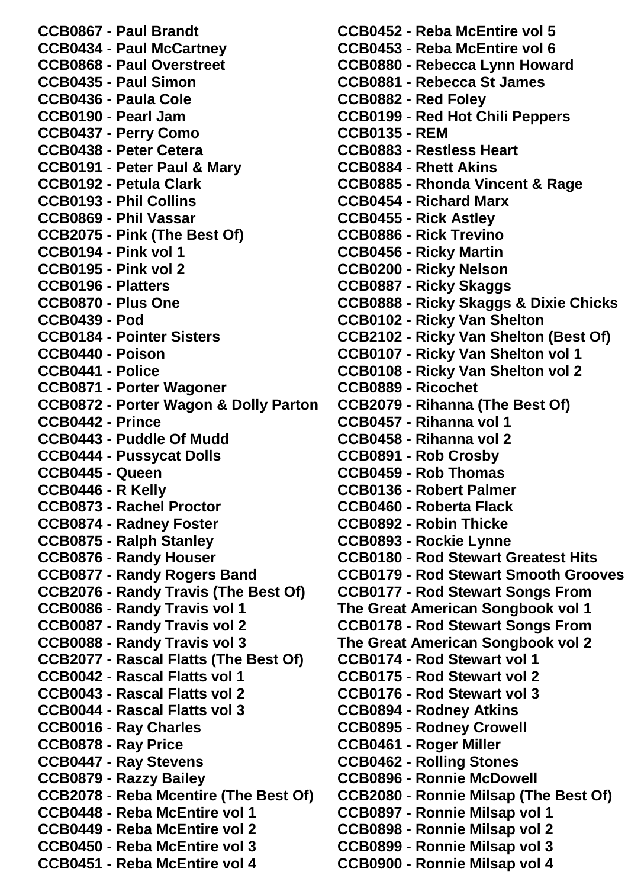**CCB0867 - Paul Brandt CCB0434 - Paul McCartney CCB0868 - Paul Overstreet CCB0435 - Paul Simon CCB0436 - Paula Cole CCB0190 - Pearl Jam CCB0437 - Perry Como CCB0438 - Peter Cetera CCB0191 - Peter Paul & Mary CCB0192 - Petula Clark CCB0193 - Phil Collins CCB0869 - Phil Vassar CCB2075 - Pink (The Best Of) CCB0194 - Pink vol 1 CCB0195 - Pink vol 2 CCB0196 - Platters CCB0870 - Plus One CCB0439 - Pod CCB0184 - Pointer Sisters CCB0440 - Poison CCB0441 - Police CCB0871 - Porter Wagoner CCB0872 - Porter Wagon & Dolly Parton CCB0442 - Prince CCB0443 - Puddle Of Mudd CCB0444 - Pussycat Dolls CCB0445 - Queen CCB0446 - R Kelly CCB0873 - Rachel Proctor CCB0874 - Radney Foster CCB0875 - Ralph Stanley CCB0876 - Randy Houser CCB0877 - Randy Rogers Band CCB2076 - Randy Travis (The Best Of) CCB0086 - Randy Travis vol 1 CCB0087 - Randy Travis vol 2 CCB0088 - Randy Travis vol 3 CCB2077 - Rascal Flatts (The Best Of) CCB0042 - Rascal Flatts vol 1 CCB0043 - Rascal Flatts vol 2 CCB0044 - Rascal Flatts vol 3 CCB0016 - Ray Charles CCB0878 - Ray Price CCB0447 - Ray Stevens CCB0879 - Razzy Bailey CCB2078 - Reba Mcentire (The Best Of) CCB0448 - Reba McEntire vol 1 CCB0449 - Reba McEntire vol 2 CCB0450 - Reba McEntire vol 3 CCB0451 - Reba McEntire vol 4**

**CCB0452 - Reba McEntire vol 5 CCB0453 - Reba McEntire vol 6 CCB0880 - Rebecca Lynn Howard CCB0881 - Rebecca St James CCB0882 - Red Foley CCB0199 - Red Hot Chili Peppers CCB0135 - REM CCB0883 - Restless Heart CCB0884 - Rhett Akins CCB0885 - Rhonda Vincent & Rage CCB0454 - Richard Marx CCB0455 - Rick Astley CCB0886 - Rick Trevino CCB0456 - Ricky Martin CCB0200 - Ricky Nelson CCB0887 - Ricky Skaggs CCB0888 - Ricky Skaggs & Dixie Chicks CCB0102 - Ricky Van Shelton CCB2102 - Ricky Van Shelton (Best Of) CCB0107 - Ricky Van Shelton vol 1 CCB0108 - Ricky Van Shelton vol 2 CCB0889 - Ricochet CCB2079 - Rihanna (The Best Of) CCB0457 - Rihanna vol 1 CCB0458 - Rihanna vol 2 CCB0891 - Rob Crosby CCB0459 - Rob Thomas CCB0136 - Robert Palmer CCB0460 - Roberta Flack CCB0892 - Robin Thicke CCB0893 - Rockie Lynne CCB0180 - Rod Stewart Greatest Hits CCB0179 - Rod Stewart Smooth Grooves CCB0177 - Rod Stewart Songs From The Great American Songbook vol 1 CCB0178 - Rod Stewart Songs From The Great American Songbook vol 2 CCB0174 - Rod Stewart vol 1 CCB0175 - Rod Stewart vol 2 CCB0176 - Rod Stewart vol 3 CCB0894 - Rodney Atkins CCB0895 - Rodney Crowell CCB0461 - Roger Miller CCB0462 - Rolling Stones CCB0896 - Ronnie McDowell CCB2080 - Ronnie Milsap (The Best Of) CCB0897 - Ronnie Milsap vol 1 CCB0898 - Ronnie Milsap vol 2 CCB0899 - Ronnie Milsap vol 3 CCB0900 - Ronnie Milsap vol 4**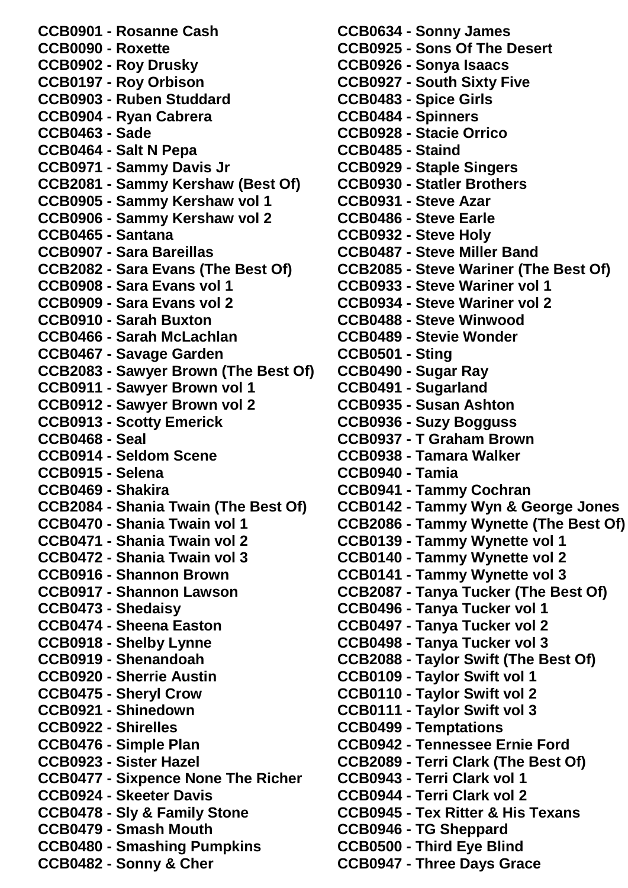**CCB0901 - Rosanne Cash CCB0090 - Roxette CCB0902 - Roy Drusky CCB0197 - Roy Orbison CCB0903 - Ruben Studdard CCB0904 - Ryan Cabrera CCB0463 - Sade CCB0464 - Salt N Pepa CCB0971 - Sammy Davis Jr CCB2081 - Sammy Kershaw (Best Of) CCB0905 - Sammy Kershaw vol 1 CCB0906 - Sammy Kershaw vol 2 CCB0465 - Santana CCB0907 - Sara Bareillas CCB2082 - Sara Evans (The Best Of) CCB0908 - Sara Evans vol 1 CCB0909 - Sara Evans vol 2 CCB0910 - Sarah Buxton CCB0466 - Sarah McLachlan CCB0467 - Savage Garden CCB2083 - Sawyer Brown (The Best Of) CCB0911 - Sawyer Brown vol 1 CCB0912 - Sawyer Brown vol 2 CCB0913 - Scotty Emerick CCB0468 - Seal CCB0914 - Seldom Scene CCB0915 - Selena CCB0469 - Shakira CCB2084 - Shania Twain (The Best Of) CCB0470 - Shania Twain vol 1 CCB0471 - Shania Twain vol 2 CCB0472 - Shania Twain vol 3 CCB0916 - Shannon Brown CCB0917 - Shannon Lawson CCB0473 - Shedaisy CCB0474 - Sheena Easton CCB0918 - Shelby Lynne CCB0919 - Shenandoah CCB0920 - Sherrie Austin CCB0475 - Sheryl Crow CCB0921 - Shinedown CCB0922 - Shirelles CCB0476 - Simple Plan CCB0923 - Sister Hazel CCB0477 - Sixpence None The Richer CCB0924 - Skeeter Davis CCB0478 - Sly & Family Stone CCB0479 - Smash Mouth CCB0480 - Smashing Pumpkins CCB0482 - Sonny & Cher**

**CCB0634 - Sonny James CCB0925 - Sons Of The Desert CCB0926 - Sonya Isaacs CCB0927 - South Sixty Five CCB0483 - Spice Girls CCB0484 - Spinners CCB0928 - Stacie Orrico CCB0485 - Staind CCB0929 - Staple Singers CCB0930 - Statler Brothers CCB0931 - Steve Azar CCB0486 - Steve Earle CCB0932 - Steve Holy CCB0487 - Steve Miller Band CCB2085 - Steve Wariner (The Best Of) CCB0933 - Steve Wariner vol 1 CCB0934 - Steve Wariner vol 2 CCB0488 - Steve Winwood CCB0489 - Stevie Wonder CCB0501 - Sting CCB0490 - Sugar Ray CCB0491 - Sugarland CCB0935 - Susan Ashton CCB0936 - Suzy Bogguss CCB0937 - T Graham Brown CCB0938 - Tamara Walker CCB0940 - Tamia CCB0941 - Tammy Cochran CCB0142 - Tammy Wyn & George Jones CCB2086 - Tammy Wynette (The Best Of) CCB0139 - Tammy Wynette vol 1 CCB0140 - Tammy Wynette vol 2 CCB0141 - Tammy Wynette vol 3 CCB2087 - Tanya Tucker (The Best Of) CCB0496 - Tanya Tucker vol 1 CCB0497 - Tanya Tucker vol 2 CCB0498 - Tanya Tucker vol 3 CCB2088 - Taylor Swift (The Best Of) CCB0109 - Taylor Swift vol 1 CCB0110 - Taylor Swift vol 2 CCB0111 - Taylor Swift vol 3 CCB0499 - Temptations CCB0942 - Tennessee Ernie Ford CCB2089 - Terri Clark (The Best Of) CCB0943 - Terri Clark vol 1 CCB0944 - Terri Clark vol 2 CCB0945 - Tex Ritter & His Texans CCB0946 - TG Sheppard CCB0500 - Third Eye Blind CCB0947 - Three Days Grace**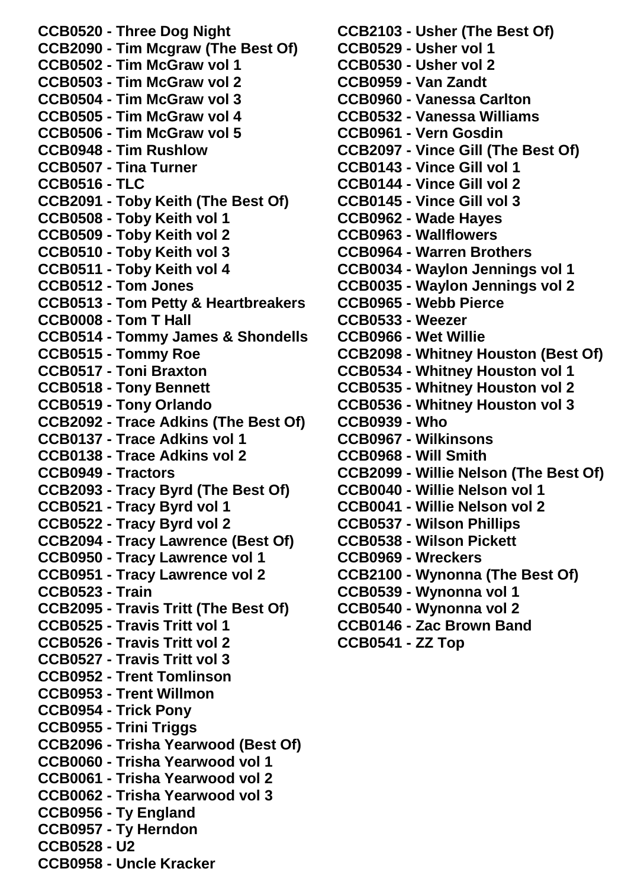**CCB0520 - Three Dog Night CCB2090 - Tim Mcgraw (The Best Of) CCB0502 - Tim McGraw vol 1 CCB0503 - Tim McGraw vol 2 CCB0504 - Tim McGraw vol 3 CCB0505 - Tim McGraw vol 4 CCB0506 - Tim McGraw vol 5 CCB0948 - Tim Rushlow CCB0507 - Tina Turner CCB0516 - TLC CCB2091 - Toby Keith (The Best Of) CCB0508 - Toby Keith vol 1 CCB0509 - Toby Keith vol 2 CCB0510 - Toby Keith vol 3 CCB0511 - Toby Keith vol 4 CCB0512 - Tom Jones CCB0513 - Tom Petty & Heartbreakers CCB0008 - Tom T Hall CCB0514 - Tommy James & Shondells CCB0515 - Tommy Roe CCB0517 - Toni Braxton CCB0518 - Tony Bennett CCB0519 - Tony Orlando CCB2092 - Trace Adkins (The Best Of) CCB0137 - Trace Adkins vol 1 CCB0138 - Trace Adkins vol 2 CCB0949 - Tractors CCB2093 - Tracy Byrd (The Best Of) CCB0521 - Tracy Byrd vol 1 CCB0522 - Tracy Byrd vol 2 CCB2094 - Tracy Lawrence (Best Of) CCB0950 - Tracy Lawrence vol 1 CCB0951 - Tracy Lawrence vol 2 CCB0523 - Train CCB2095 - Travis Tritt (The Best Of) CCB0525 - Travis Tritt vol 1 CCB0526 - Travis Tritt vol 2 CCB0527 - Travis Tritt vol 3 CCB0952 - Trent Tomlinson CCB0953 - Trent Willmon CCB0954 - Trick Pony CCB0955 - Trini Triggs CCB2096 - Trisha Yearwood (Best Of) CCB0060 - Trisha Yearwood vol 1 CCB0061 - Trisha Yearwood vol 2 CCB0062 - Trisha Yearwood vol 3 CCB0956 - Ty England CCB0957 - Ty Herndon CCB0528 - U2 CCB0958 - Uncle Kracker**

**CCB2103 - Usher (The Best Of) CCB0529 - Usher vol 1 CCB0530 - Usher vol 2 CCB0959 - Van Zandt CCB0960 - Vanessa Carlton CCB0532 - Vanessa Williams CCB0961 - Vern Gosdin CCB2097 - Vince Gill (The Best Of) CCB0143 - Vince Gill vol 1 CCB0144 - Vince Gill vol 2 CCB0145 - Vince Gill vol 3 CCB0962 - Wade Hayes CCB0963 - Wallflowers CCB0964 - Warren Brothers CCB0034 - Waylon Jennings vol 1 CCB0035 - Waylon Jennings vol 2 CCB0965 - Webb Pierce CCB0533 - Weezer CCB0966 - Wet Willie CCB2098 - Whitney Houston (Best Of) CCB0534 - Whitney Houston vol 1 CCB0535 - Whitney Houston vol 2 CCB0536 - Whitney Houston vol 3 CCB0939 - Who CCB0967 - Wilkinsons CCB0968 - Will Smith CCB2099 - Willie Nelson (The Best Of) CCB0040 - Willie Nelson vol 1 CCB0041 - Willie Nelson vol 2 CCB0537 - Wilson Phillips CCB0538 - Wilson Pickett CCB0969 - Wreckers CCB2100 - Wynonna (The Best Of) CCB0539 - Wynonna vol 1 CCB0540 - Wynonna vol 2 CCB0146 - Zac Brown Band CCB0541 - ZZ Top**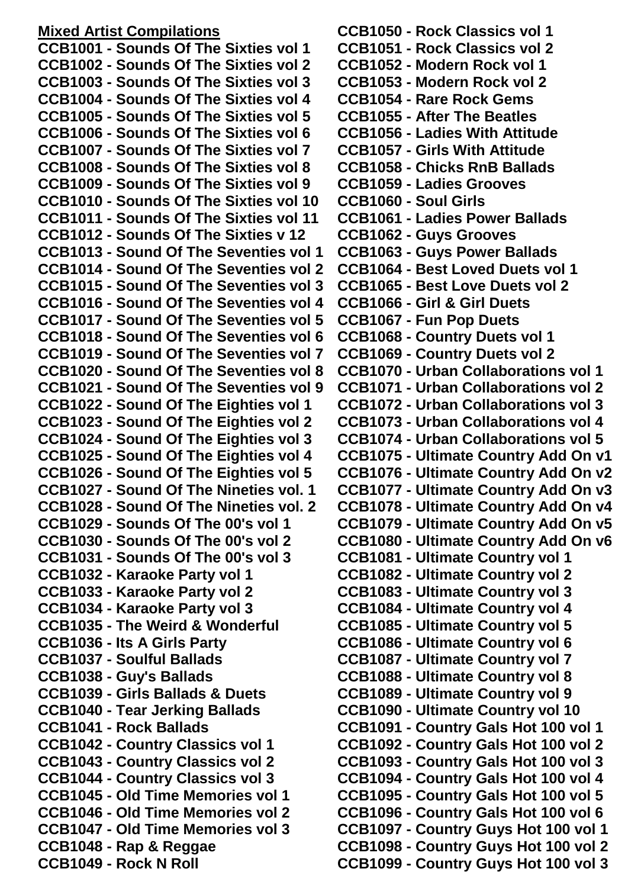## **Mixed Artist Compilations**

**CCB1001 - Sounds Of The Sixties vol 1 CCB1002 - Sounds Of The Sixties vol 2 CCB1003 - Sounds Of The Sixties vol 3 CCB1004 - Sounds Of The Sixties vol 4 CCB1005 - Sounds Of The Sixties vol 5 CCB1006 - Sounds Of The Sixties vol 6 CCB1007 - Sounds Of The Sixties vol 7 CCB1008 - Sounds Of The Sixties vol 8 CCB1009 - Sounds Of The Sixties vol 9 CCB1010 - Sounds Of The Sixties vol 10 CCB1011 - Sounds Of The Sixties vol 11 CCB1012 - Sounds Of The Sixties v 12 CCB1013 - Sound Of The Seventies vol 1 CCB1014 - Sound Of The Seventies vol 2 CCB1015 - Sound Of The Seventies vol 3 CCB1016 - Sound Of The Seventies vol 4 CCB1017 - Sound Of The Seventies vol 5 CCB1018 - Sound Of The Seventies vol 6 CCB1019 - Sound Of The Seventies vol 7 CCB1020 - Sound Of The Seventies vol 8 CCB1021 - Sound Of The Seventies vol 9 CCB1022 - Sound Of The Eighties vol 1 CCB1023 - Sound Of The Eighties vol 2 CCB1024 - Sound Of The Eighties vol 3 CCB1025 - Sound Of The Eighties vol 4 CCB1026 - Sound Of The Eighties vol 5 CCB1027 - Sound Of The Nineties vol. 1 CCB1028 - Sound Of The Nineties vol. 2 CCB1029 - Sounds Of The 00's vol 1 CCB1030 - Sounds Of The 00's vol 2 CCB1031 - Sounds Of The 00's vol 3 CCB1032 - Karaoke Party vol 1 CCB1033 - Karaoke Party vol 2 CCB1034 - Karaoke Party vol 3 CCB1035 - The Weird & Wonderful CCB1036 - Its A Girls Party CCB1037 - Soulful Ballads CCB1038 - Guy's Ballads CCB1039 - Girls Ballads & Duets CCB1040 - Tear Jerking Ballads CCB1041 - Rock Ballads CCB1042 - Country Classics vol 1 CCB1043 - Country Classics vol 2 CCB1044 - Country Classics vol 3 CCB1045 - Old Time Memories vol 1 CCB1046 - Old Time Memories vol 2 CCB1047 - Old Time Memories vol 3 CCB1048 - Rap & Reggae CCB1049 - Rock N Roll**

**CCB1050 - Rock Classics vol 1 CCB1051 - Rock Classics vol 2 CCB1052 - Modern Rock vol 1 CCB1053 - Modern Rock vol 2 CCB1054 - Rare Rock Gems CCB1055 - After The Beatles CCB1056 - Ladies With Attitude CCB1057 - Girls With Attitude CCB1058 - Chicks RnB Ballads CCB1059 - Ladies Grooves CCB1060 - Soul Girls CCB1061 - Ladies Power Ballads CCB1062 - Guys Grooves CCB1063 - Guys Power Ballads CCB1064 - Best Loved Duets vol 1 CCB1065 - Best Love Duets vol 2 CCB1066 - Girl & Girl Duets CCB1067 - Fun Pop Duets CCB1068 - Country Duets vol 1 CCB1069 - Country Duets vol 2 CCB1070 - Urban Collaborations vol 1 CCB1071 - Urban Collaborations vol 2 CCB1072 - Urban Collaborations vol 3 CCB1073 - Urban Collaborations vol 4 CCB1074 - Urban Collaborations vol 5 CCB1075 - Ultimate Country Add On v1 CCB1076 - Ultimate Country Add On v2 CCB1077 - Ultimate Country Add On v3 CCB1078 - Ultimate Country Add On v4 CCB1079 - Ultimate Country Add On v5 CCB1080 - Ultimate Country Add On v6 CCB1081 - Ultimate Country vol 1 CCB1082 - Ultimate Country vol 2 CCB1083 - Ultimate Country vol 3 CCB1084 - Ultimate Country vol 4 CCB1085 - Ultimate Country vol 5 CCB1086 - Ultimate Country vol 6 CCB1087 - Ultimate Country vol 7 CCB1088 - Ultimate Country vol 8 CCB1089 - Ultimate Country vol 9 CCB1090 - Ultimate Country vol 10 CCB1091 - Country Gals Hot 100 vol 1 CCB1092 - Country Gals Hot 100 vol 2 CCB1093 - Country Gals Hot 100 vol 3 CCB1094 - Country Gals Hot 100 vol 4 CCB1095 - Country Gals Hot 100 vol 5 CCB1096 - Country Gals Hot 100 vol 6 CCB1097 - Country Guys Hot 100 vol 1 CCB1098 - Country Guys Hot 100 vol 2 CCB1099 - Country Guys Hot 100 vol 3**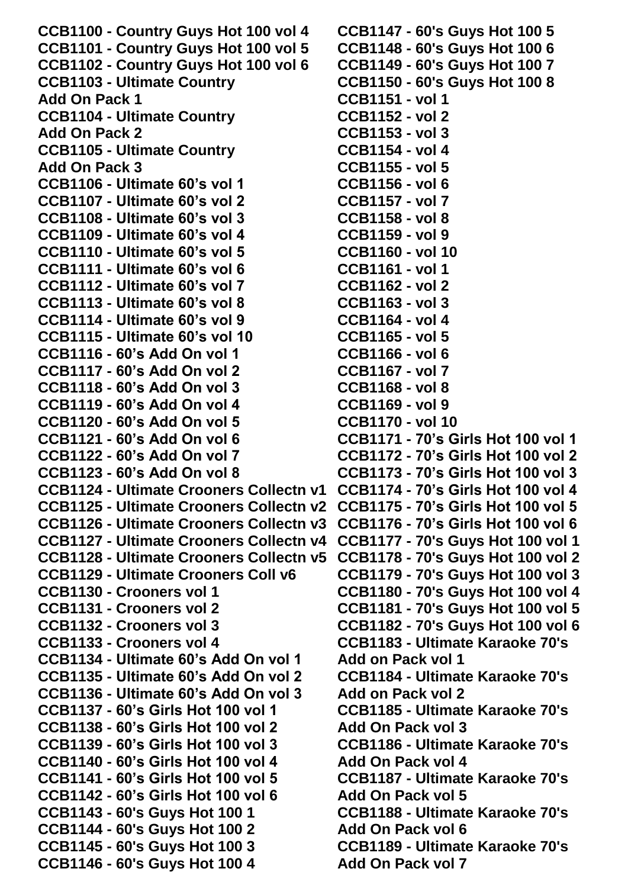**CCB1100 - Country Guys Hot 100 vol 4 CCB1101 - Country Guys Hot 100 vol 5 CCB1102 - Country Guys Hot 100 vol 6 CCB1103 - Ultimate Country Add On Pack 1 CCB1104 - Ultimate Country Add On Pack 2 CCB1105 - Ultimate Country Add On Pack 3 CCB1106 - Ultimate 60's vol 1 CCB1107 - Ultimate 60's vol 2 CCB1108 - Ultimate 60's vol 3 CCB1109 - Ultimate 60's vol 4 CCB1110 - Ultimate 60's vol 5 CCB1111 - Ultimate 60's vol 6 CCB1112 - Ultimate 60's vol 7 CCB1113 - Ultimate 60's vol 8 CCB1114 - Ultimate 60's vol 9 CCB1115 - Ultimate 60's vol 10 CCB1116 - 60's Add On vol 1 CCB1117 - 60's Add On vol 2 CCB1118 - 60's Add On vol 3 CCB1119 - 60's Add On vol 4 CCB1120 - 60's Add On vol 5 CCB1121 - 60's Add On vol 6 CCB1122 - 60's Add On vol 7 CCB1123 - 60's Add On vol 8 CCB1124 - Ultimate Crooners Collectn v1 CCB1174 - 70's Girls Hot 100 vol 4 CCB1125 - Ultimate Crooners Collectn v2 CCB1126 - Ultimate Crooners Collectn v3 CCB1176 - 70's Girls Hot 100 vol 6 CCB1127 - Ultimate Crooners Collectn v4 CCB1128 - Ultimate Crooners Collectn v5 CCB1129 - Ultimate Crooners Coll v6 CCB1130 - Crooners vol 1 CCB1131 - Crooners vol 2 CCB1132 - Crooners vol 3 CCB1133 - Crooners vol 4 CCB1134 - Ultimate 60's Add On vol 1 CCB1135 - Ultimate 60's Add On vol 2 CCB1136 - Ultimate 60's Add On vol 3 CCB1137 - 60's Girls Hot 100 vol 1 CCB1138 - 60's Girls Hot 100 vol 2 CCB1139 - 60's Girls Hot 100 vol 3 CCB1140 - 60's Girls Hot 100 vol 4 CCB1141 - 60's Girls Hot 100 vol 5 CCB1142 - 60's Girls Hot 100 vol 6 CCB1143 - 60's Guys Hot 100 1 CCB1144 - 60's Guys Hot 100 2 CCB1145 - 60's Guys Hot 100 3 CCB1146 - 60's Guys Hot 100 4 CCB1147 - 60's Guys Hot 100 5 CCB1148 - 60's Guys Hot 100 6 CCB1149 - 60's Guys Hot 100 7 CCB1150 - 60's Guys Hot 100 8 CCB1151 - vol 1 CCB1152 - vol 2 CCB1153 - vol 3 CCB1154 - vol 4 CCB1155 - vol 5 CCB1156 - vol 6 CCB1157 - vol 7 CCB1158 - vol 8 CCB1159 - vol 9 CCB1160 - vol 10 CCB1161 - vol 1 CCB1162 - vol 2 CCB1163 - vol 3 CCB1164 - vol 4 CCB1165 - vol 5 CCB1166 - vol 6 CCB1167 - vol 7 CCB1168 - vol 8 CCB1169 - vol 9 CCB1170 - vol 10 CCB1171 - 70's Girls Hot 100 vol 1 CCB1172 - 70's Girls Hot 100 vol 2 CCB1173 - 70's Girls Hot 100 vol 3 CCB1175 - 70's Girls Hot 100 vol 5 CCB1177 - 70's Guys Hot 100 vol 1 CCB1178 - 70's Guys Hot 100 vol 2 CCB1179 - 70's Guys Hot 100 vol 3 CCB1180 - 70's Guys Hot 100 vol 4 CCB1181 - 70's Guys Hot 100 vol 5 CCB1182 - 70's Guys Hot 100 vol 6 CCB1183 - Ultimate Karaoke 70's Add on Pack vol 1 CCB1184 - Ultimate Karaoke 70's Add on Pack vol 2 CCB1185 - Ultimate Karaoke 70's Add On Pack vol 3 CCB1186 - Ultimate Karaoke 70's Add On Pack vol 4 CCB1187 - Ultimate Karaoke 70's Add On Pack vol 5 CCB1188 - Ultimate Karaoke 70's Add On Pack vol 6 CCB1189 - Ultimate Karaoke 70's Add On Pack vol 7**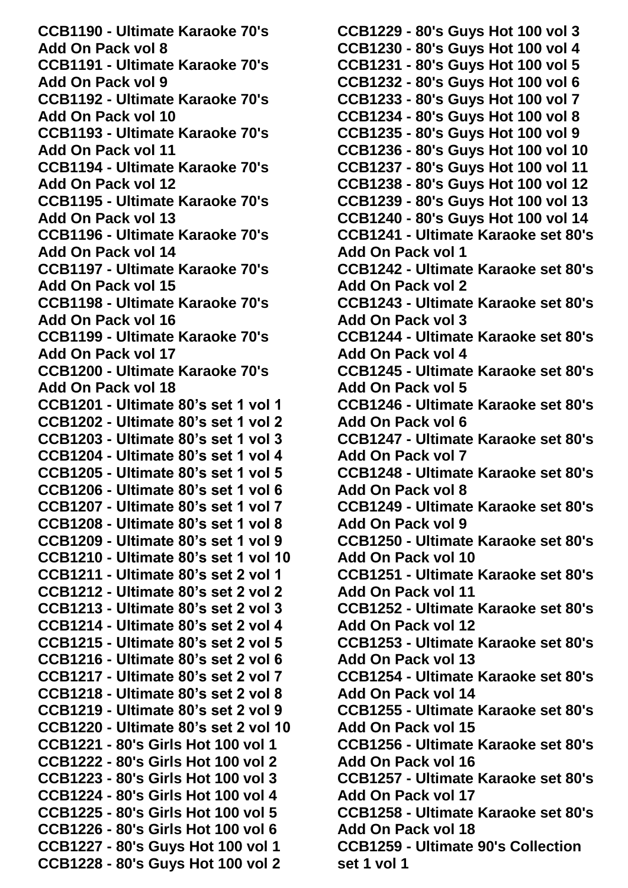**CCB1190 - Ultimate Karaoke 70's Add On Pack vol 8 CCB1191 - Ultimate Karaoke 70's Add On Pack vol 9 CCB1192 - Ultimate Karaoke 70's Add On Pack vol 10 CCB1193 - Ultimate Karaoke 70's Add On Pack vol 11 CCB1194 - Ultimate Karaoke 70's Add On Pack vol 12 CCB1195 - Ultimate Karaoke 70's Add On Pack vol 13 CCB1196 - Ultimate Karaoke 70's Add On Pack vol 14 CCB1197 - Ultimate Karaoke 70's Add On Pack vol 15 CCB1198 - Ultimate Karaoke 70's Add On Pack vol 16 CCB1199 - Ultimate Karaoke 70's Add On Pack vol 17 CCB1200 - Ultimate Karaoke 70's Add On Pack vol 18 CCB1201 - Ultimate 80's set 1 vol 1 CCB1202 - Ultimate 80's set 1 vol 2 CCB1203 - Ultimate 80's set 1 vol 3 CCB1204 - Ultimate 80's set 1 vol 4 CCB1205 - Ultimate 80's set 1 vol 5 CCB1206 - Ultimate 80's set 1 vol 6 CCB1207 - Ultimate 80's set 1 vol 7 CCB1208 - Ultimate 80's set 1 vol 8 CCB1209 - Ultimate 80's set 1 vol 9 CCB1210 - Ultimate 80's set 1 vol 10 CCB1211 - Ultimate 80's set 2 vol 1 CCB1212 - Ultimate 80's set 2 vol 2 CCB1213 - Ultimate 80's set 2 vol 3 CCB1214 - Ultimate 80's set 2 vol 4 CCB1215 - Ultimate 80's set 2 vol 5 CCB1216 - Ultimate 80's set 2 vol 6 CCB1217 - Ultimate 80's set 2 vol 7 CCB1218 - Ultimate 80's set 2 vol 8 CCB1219 - Ultimate 80's set 2 vol 9 CCB1220 - Ultimate 80's set 2 vol 10 CCB1221 - 80's Girls Hot 100 vol 1 CCB1222 - 80's Girls Hot 100 vol 2 CCB1223 - 80's Girls Hot 100 vol 3 CCB1224 - 80's Girls Hot 100 vol 4 CCB1225 - 80's Girls Hot 100 vol 5 CCB1226 - 80's Girls Hot 100 vol 6 CCB1227 - 80's Guys Hot 100 vol 1 CCB1228 - 80's Guys Hot 100 vol 2**

**CCB1229 - 80's Guys Hot 100 vol 3 CCB1230 - 80's Guys Hot 100 vol 4 CCB1231 - 80's Guys Hot 100 vol 5 CCB1232 - 80's Guys Hot 100 vol 6 CCB1233 - 80's Guys Hot 100 vol 7 CCB1234 - 80's Guys Hot 100 vol 8 CCB1235 - 80's Guys Hot 100 vol 9 CCB1236 - 80's Guys Hot 100 vol 10 CCB1237 - 80's Guys Hot 100 vol 11 CCB1238 - 80's Guys Hot 100 vol 12 CCB1239 - 80's Guys Hot 100 vol 13 CCB1240 - 80's Guys Hot 100 vol 14 CCB1241 - Ultimate Karaoke set 80's Add On Pack vol 1 CCB1242 - Ultimate Karaoke set 80's Add On Pack vol 2 CCB1243 - Ultimate Karaoke set 80's Add On Pack vol 3 CCB1244 - Ultimate Karaoke set 80's Add On Pack vol 4 CCB1245 - Ultimate Karaoke set 80's Add On Pack vol 5 CCB1246 - Ultimate Karaoke set 80's Add On Pack vol 6 CCB1247 - Ultimate Karaoke set 80's Add On Pack vol 7 CCB1248 - Ultimate Karaoke set 80's Add On Pack vol 8 CCB1249 - Ultimate Karaoke set 80's Add On Pack vol 9 CCB1250 - Ultimate Karaoke set 80's Add On Pack vol 10 CCB1251 - Ultimate Karaoke set 80's Add On Pack vol 11 CCB1252 - Ultimate Karaoke set 80's Add On Pack vol 12 CCB1253 - Ultimate Karaoke set 80's Add On Pack vol 13 CCB1254 - Ultimate Karaoke set 80's Add On Pack vol 14 CCB1255 - Ultimate Karaoke set 80's Add On Pack vol 15 CCB1256 - Ultimate Karaoke set 80's Add On Pack vol 16 CCB1257 - Ultimate Karaoke set 80's Add On Pack vol 17 CCB1258 - Ultimate Karaoke set 80's Add On Pack vol 18 CCB1259 - Ultimate 90's Collection set 1 vol 1**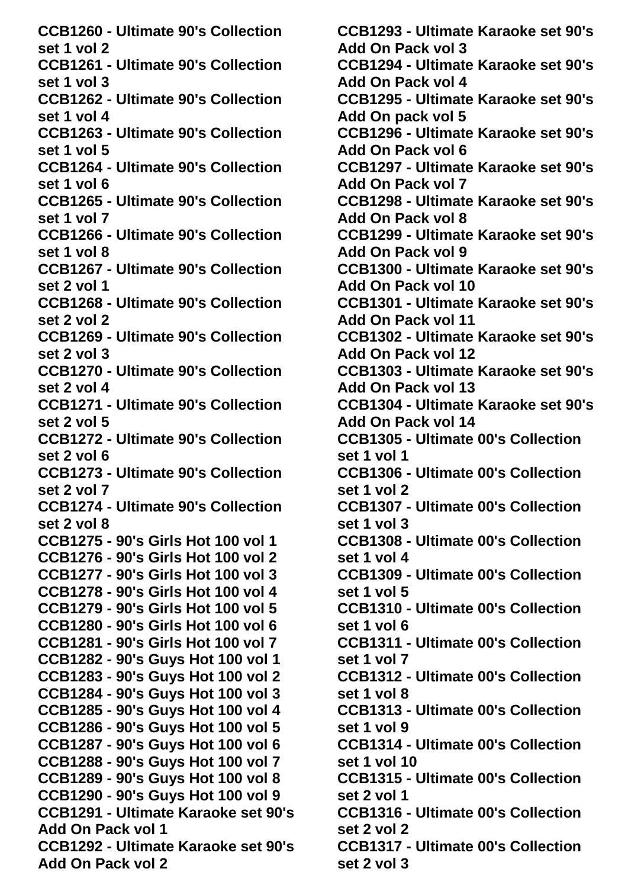**CCB1260 - Ultimate 90's Collection set 1 vol 2 CCB1261 - Ultimate 90's Collection set 1 vol 3 CCB1262 - Ultimate 90's Collection set 1 vol 4 CCB1263 - Ultimate 90's Collection set 1 vol 5 CCB1264 - Ultimate 90's Collection set 1 vol 6 CCB1265 - Ultimate 90's Collection set 1 vol 7 CCB1266 - Ultimate 90's Collection set 1 vol 8 CCB1267 - Ultimate 90's Collection set 2 vol 1 CCB1268 - Ultimate 90's Collection set 2 vol 2 CCB1269 - Ultimate 90's Collection set 2 vol 3 CCB1270 - Ultimate 90's Collection set 2 vol 4 CCB1271 - Ultimate 90's Collection set 2 vol 5 CCB1272 - Ultimate 90's Collection set 2 vol 6 CCB1273 - Ultimate 90's Collection set 2 vol 7 CCB1274 - Ultimate 90's Collection set 2 vol 8 CCB1275 - 90's Girls Hot 100 vol 1 CCB1276 - 90's Girls Hot 100 vol 2 CCB1277 - 90's Girls Hot 100 vol 3 CCB1278 - 90's Girls Hot 100 vol 4 CCB1279 - 90's Girls Hot 100 vol 5 CCB1280 - 90's Girls Hot 100 vol 6 CCB1281 - 90's Girls Hot 100 vol 7 CCB1282 - 90's Guys Hot 100 vol 1 CCB1283 - 90's Guys Hot 100 vol 2 CCB1284 - 90's Guys Hot 100 vol 3 CCB1285 - 90's Guys Hot 100 vol 4 CCB1286 - 90's Guys Hot 100 vol 5 CCB1287 - 90's Guys Hot 100 vol 6 CCB1288 - 90's Guys Hot 100 vol 7 CCB1289 - 90's Guys Hot 100 vol 8 CCB1290 - 90's Guys Hot 100 vol 9 CCB1291 - Ultimate Karaoke set 90's Add On Pack vol 1 CCB1292 - Ultimate Karaoke set 90's Add On Pack vol 2**

**CCB1293 - Ultimate Karaoke set 90's Add On Pack vol 3 CCB1294 - Ultimate Karaoke set 90's Add On Pack vol 4 CCB1295 - Ultimate Karaoke set 90's Add On pack vol 5 CCB1296 - Ultimate Karaoke set 90's Add On Pack vol 6 CCB1297 - Ultimate Karaoke set 90's Add On Pack vol 7 CCB1298 - Ultimate Karaoke set 90's Add On Pack vol 8 CCB1299 - Ultimate Karaoke set 90's Add On Pack vol 9 CCB1300 - Ultimate Karaoke set 90's Add On Pack vol 10 CCB1301 - Ultimate Karaoke set 90's Add On Pack vol 11 CCB1302 - Ultimate Karaoke set 90's Add On Pack vol 12 CCB1303 - Ultimate Karaoke set 90's Add On Pack vol 13 CCB1304 - Ultimate Karaoke set 90's Add On Pack vol 14 CCB1305 - Ultimate 00's Collection set 1 vol 1 CCB1306 - Ultimate 00's Collection set 1 vol 2 CCB1307 - Ultimate 00's Collection set 1 vol 3 CCB1308 - Ultimate 00's Collection set 1 vol 4 CCB1309 - Ultimate 00's Collection set 1 vol 5 CCB1310 - Ultimate 00's Collection set 1 vol 6 CCB1311 - Ultimate 00's Collection set 1 vol 7 CCB1312 - Ultimate 00's Collection set 1 vol 8 CCB1313 - Ultimate 00's Collection set 1 vol 9 CCB1314 - Ultimate 00's Collection set 1 vol 10 CCB1315 - Ultimate 00's Collection set 2 vol 1 CCB1316 - Ultimate 00's Collection set 2 vol 2 CCB1317 - Ultimate 00's Collection set 2 vol 3**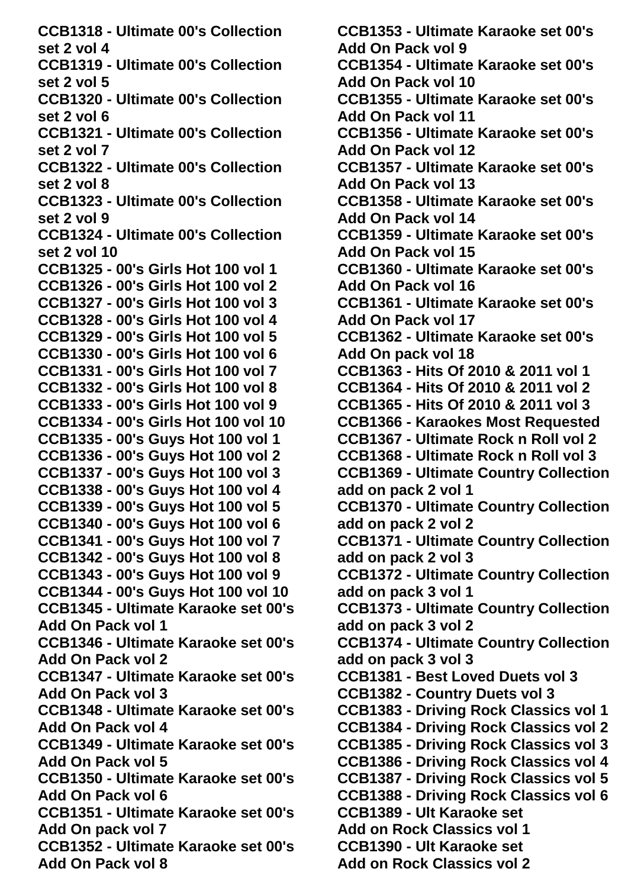**CCB1318 - Ultimate 00's Collection set 2 vol 4 CCB1319 - Ultimate 00's Collection set 2 vol 5 CCB1320 - Ultimate 00's Collection set 2 vol 6 CCB1321 - Ultimate 00's Collection set 2 vol 7 CCB1322 - Ultimate 00's Collection set 2 vol 8 CCB1323 - Ultimate 00's Collection set 2 vol 9 CCB1324 - Ultimate 00's Collection set 2 vol 10 CCB1325 - 00's Girls Hot 100 vol 1 CCB1326 - 00's Girls Hot 100 vol 2 CCB1327 - 00's Girls Hot 100 vol 3 CCB1328 - 00's Girls Hot 100 vol 4 CCB1329 - 00's Girls Hot 100 vol 5 CCB1330 - 00's Girls Hot 100 vol 6 CCB1331 - 00's Girls Hot 100 vol 7 CCB1332 - 00's Girls Hot 100 vol 8 CCB1333 - 00's Girls Hot 100 vol 9 CCB1334 - 00's Girls Hot 100 vol 10 CCB1335 - 00's Guys Hot 100 vol 1 CCB1336 - 00's Guys Hot 100 vol 2 CCB1337 - 00's Guys Hot 100 vol 3 CCB1338 - 00's Guys Hot 100 vol 4 CCB1339 - 00's Guys Hot 100 vol 5 CCB1340 - 00's Guys Hot 100 vol 6 CCB1341 - 00's Guys Hot 100 vol 7 CCB1342 - 00's Guys Hot 100 vol 8 CCB1343 - 00's Guys Hot 100 vol 9 CCB1344 - 00's Guys Hot 100 vol 10 CCB1345 - Ultimate Karaoke set 00's Add On Pack vol 1 CCB1346 - Ultimate Karaoke set 00's Add On Pack vol 2 CCB1347 - Ultimate Karaoke set 00's Add On Pack vol 3 CCB1348 - Ultimate Karaoke set 00's Add On Pack vol 4 CCB1349 - Ultimate Karaoke set 00's Add On Pack vol 5 CCB1350 - Ultimate Karaoke set 00's Add On Pack vol 6 CCB1351 - Ultimate Karaoke set 00's Add On pack vol 7 CCB1352 - Ultimate Karaoke set 00's Add On Pack vol 8**

**CCB1353 - Ultimate Karaoke set 00's Add On Pack vol 9 CCB1354 - Ultimate Karaoke set 00's Add On Pack vol 10 CCB1355 - Ultimate Karaoke set 00's Add On Pack vol 11 CCB1356 - Ultimate Karaoke set 00's Add On Pack vol 12 CCB1357 - Ultimate Karaoke set 00's Add On Pack vol 13 CCB1358 - Ultimate Karaoke set 00's Add On Pack vol 14 CCB1359 - Ultimate Karaoke set 00's Add On Pack vol 15 CCB1360 - Ultimate Karaoke set 00's Add On Pack vol 16 CCB1361 - Ultimate Karaoke set 00's Add On Pack vol 17 CCB1362 - Ultimate Karaoke set 00's Add On pack vol 18 CCB1363 - Hits Of 2010 & 2011 vol 1 CCB1364 - Hits Of 2010 & 2011 vol 2 CCB1365 - Hits Of 2010 & 2011 vol 3 CCB1366 - Karaokes Most Requested CCB1367 - Ultimate Rock n Roll vol 2 CCB1368 - Ultimate Rock n Roll vol 3 CCB1369 - Ultimate Country Collection add on pack 2 vol 1 CCB1370 - Ultimate Country Collection add on pack 2 vol 2 CCB1371 - Ultimate Country Collection add on pack 2 vol 3 CCB1372 - Ultimate Country Collection add on pack 3 vol 1 CCB1373 - Ultimate Country Collection add on pack 3 vol 2 CCB1374 - Ultimate Country Collection add on pack 3 vol 3 CCB1381 - Best Loved Duets vol 3 CCB1382 - Country Duets vol 3 CCB1383 - Driving Rock Classics vol 1 CCB1384 - Driving Rock Classics vol 2 CCB1385 - Driving Rock Classics vol 3 CCB1386 - Driving Rock Classics vol 4 CCB1387 - Driving Rock Classics vol 5 CCB1388 - Driving Rock Classics vol 6 CCB1389 - Ult Karaoke set Add on Rock Classics vol 1 CCB1390 - Ult Karaoke set Add on Rock Classics vol 2**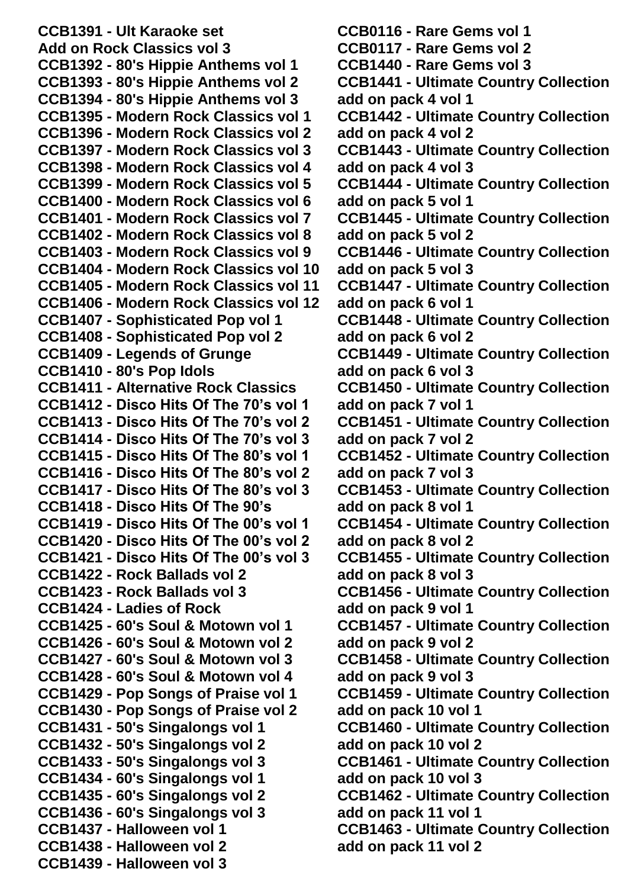**CCB1391 - Ult Karaoke set Add on Rock Classics vol 3 CCB1392 - 80's Hippie Anthems vol 1 CCB1393 - 80's Hippie Anthems vol 2 CCB1394 - 80's Hippie Anthems vol 3 CCB1395 - Modern Rock Classics vol 1 CCB1396 - Modern Rock Classics vol 2 CCB1397 - Modern Rock Classics vol 3 CCB1398 - Modern Rock Classics vol 4 CCB1399 - Modern Rock Classics vol 5 CCB1400 - Modern Rock Classics vol 6 CCB1401 - Modern Rock Classics vol 7 CCB1402 - Modern Rock Classics vol 8 CCB1403 - Modern Rock Classics vol 9 CCB1404 - Modern Rock Classics vol 10 CCB1405 - Modern Rock Classics vol 11 CCB1406 - Modern Rock Classics vol 12 CCB1407 - Sophisticated Pop vol 1 CCB1408 - Sophisticated Pop vol 2 CCB1409 - Legends of Grunge CCB1410 - 80's Pop Idols CCB1411 - Alternative Rock Classics CCB1412 - Disco Hits Of The 70's vol 1 CCB1413 - Disco Hits Of The 70's vol 2 CCB1414 - Disco Hits Of The 70's vol 3 CCB1415 - Disco Hits Of The 80's vol 1 CCB1416 - Disco Hits Of The 80's vol 2 CCB1417 - Disco Hits Of The 80's vol 3 CCB1418 - Disco Hits Of The 90's CCB1419 - Disco Hits Of The 00's vol 1 CCB1420 - Disco Hits Of The 00's vol 2 CCB1421 - Disco Hits Of The 00's vol 3 CCB1422 - Rock Ballads vol 2 CCB1423 - Rock Ballads vol 3 CCB1424 - Ladies of Rock CCB1425 - 60's Soul & Motown vol 1 CCB1426 - 60's Soul & Motown vol 2 CCB1427 - 60's Soul & Motown vol 3 CCB1428 - 60's Soul & Motown vol 4 CCB1429 - Pop Songs of Praise vol 1 CCB1430 - Pop Songs of Praise vol 2 CCB1431 - 50's Singalongs vol 1 CCB1432 - 50's Singalongs vol 2 CCB1433 - 50's Singalongs vol 3 CCB1434 - 60's Singalongs vol 1 CCB1435 - 60's Singalongs vol 2 CCB1436 - 60's Singalongs vol 3 CCB1437 - Halloween vol 1 CCB1438 - Halloween vol 2 CCB1439 - Halloween vol 3**

**CCB0116 - Rare Gems vol 1 CCB0117 - Rare Gems vol 2 CCB1440 - Rare Gems vol 3 CCB1441 - Ultimate Country Collection add on pack 4 vol 1 CCB1442 - Ultimate Country Collection add on pack 4 vol 2 CCB1443 - Ultimate Country Collection add on pack 4 vol 3 CCB1444 - Ultimate Country Collection add on pack 5 vol 1 CCB1445 - Ultimate Country Collection add on pack 5 vol 2 CCB1446 - Ultimate Country Collection add on pack 5 vol 3 CCB1447 - Ultimate Country Collection add on pack 6 vol 1 CCB1448 - Ultimate Country Collection add on pack 6 vol 2 CCB1449 - Ultimate Country Collection add on pack 6 vol 3 CCB1450 - Ultimate Country Collection add on pack 7 vol 1 CCB1451 - Ultimate Country Collection add on pack 7 vol 2 CCB1452 - Ultimate Country Collection add on pack 7 vol 3 CCB1453 - Ultimate Country Collection add on pack 8 vol 1 CCB1454 - Ultimate Country Collection add on pack 8 vol 2 CCB1455 - Ultimate Country Collection add on pack 8 vol 3 CCB1456 - Ultimate Country Collection add on pack 9 vol 1 CCB1457 - Ultimate Country Collection add on pack 9 vol 2 CCB1458 - Ultimate Country Collection add on pack 9 vol 3 CCB1459 - Ultimate Country Collection add on pack 10 vol 1 CCB1460 - Ultimate Country Collection add on pack 10 vol 2 CCB1461 - Ultimate Country Collection add on pack 10 vol 3 CCB1462 - Ultimate Country Collection add on pack 11 vol 1 CCB1463 - Ultimate Country Collection add on pack 11 vol 2**